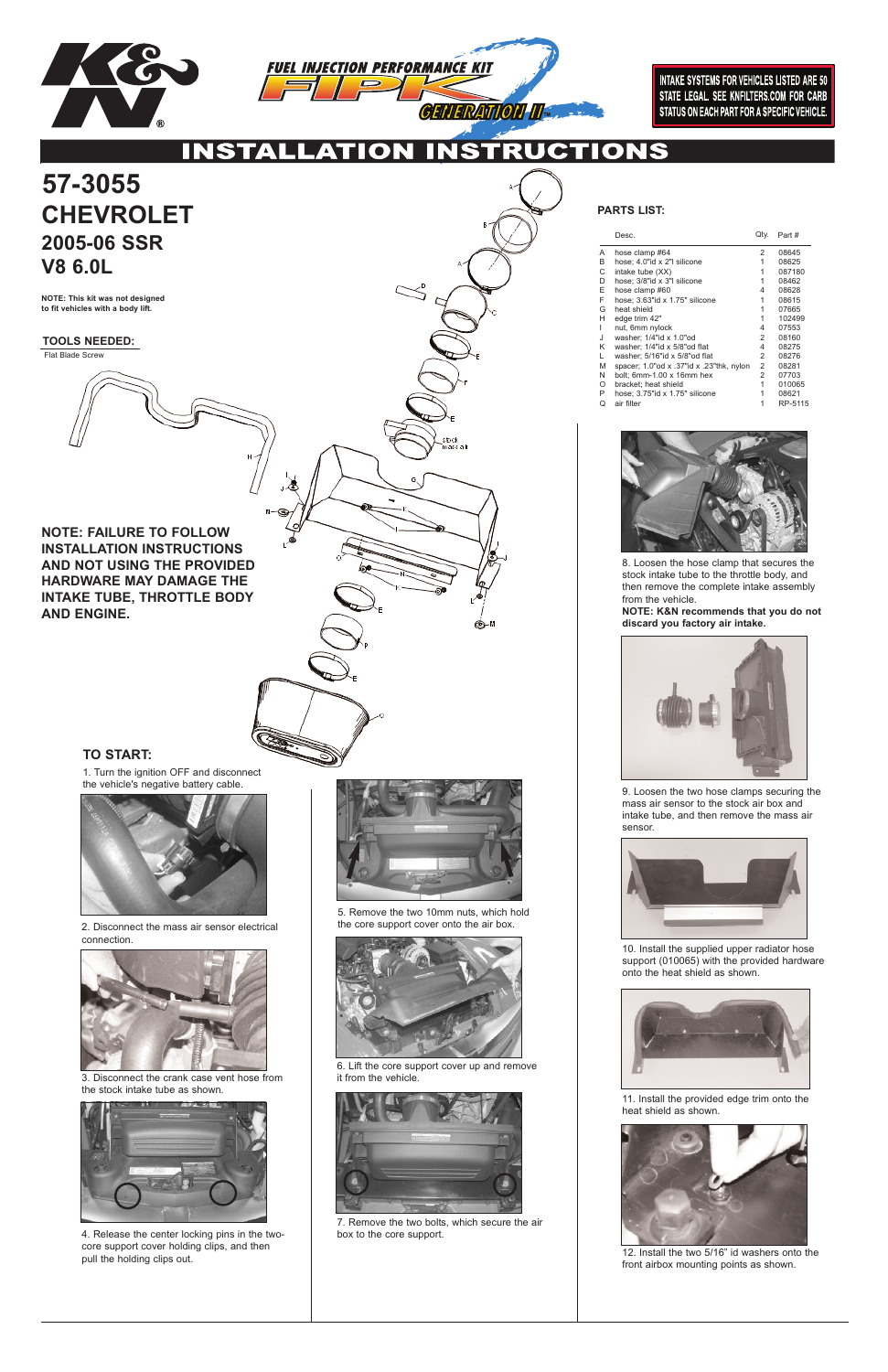

**INTAKE SYSTEMS FOR VEHICLES LISTED ARE 50** STATE LEGAL. SEE KNFILTERS.COM FOR CARB STATUS ON EACH PART FOR A SPECIFIC VEHICLE.

UCTIONS **INSTA ⁄** ▲

: at

©−™

# **CHEVROLET 2005-06 SSR V8 6.0L 57-3055**

**TOOLS NEEDED:** Flat Blade Screw

**NOTE: This kit was not designed to fit vehicles with a body lift.**

### **PARTS LIST:**

### **TO START:**

1. Turn the ignition OFF and disconnect the vehicle's negative battery cable.



2. Disconnect the mass air sensor electrical connection.



3. Disconnect the crank case vent hose from the stock intake tube as shown.



4. Release the center locking pins in the twocore support cover holding clips, and then pull the holding clips out.



5. Remove the two 10mm nuts, which hold the core support cover onto the air box.



6. Lift the core support cover up and remove it from the vehicle.



7. Remove the two bolts, which secure the air box to the core support.

8. Loosen the hose clamp that secures the stock intake tube to the throttle body, and then remove the complete intake assembly from the vehicle.

**NOTE: K&N recommends that you do not discard you factory air intake.**



9. Loosen the two hose clamps securing the mass air sensor to the stock air box and intake tube, and then remove the mass air sensor.

|   | Desc.                                    | Qty.           | Part #  |
|---|------------------------------------------|----------------|---------|
| Α | hose clamp #64                           | 2              | 08645   |
| B | hose: 4.0"id x 2"I silicone              | 1              | 08625   |
| С | intake tube (XX)                         | 1              | 087180  |
| D | hose: 3/8"id x 3"I silicone              | 1              | 08462   |
| E | hose clamp #60                           | 4              | 08628   |
| F | hose; 3.63"id x 1.75" silicone           | 1              | 08615   |
| G | heat shield                              | 1              | 07665   |
| н | edge trim 42"                            | 1              | 102499  |
| ı | nut, 6mm nylock                          | 4              | 07553   |
| J | washer: $1/4"$ id x $1.0"$ od            | 2              | 08160   |
| Κ | washer; 1/4"id x 5/8"od flat             | 4              | 08275   |
| L | washer; 5/16"id x 5/8"od flat            | 2              | 08276   |
| M | spacer; 1.0"od x .37"id x .23"thk, nylon | 2              | 08281   |
| N | bolt: $6mm-1.00 \times 16mm$ hex         | $\overline{2}$ | 07703   |
| O | bracket: heat shield                     | 1              | 010065  |
| P | hose; 3.75"id x 1.75" silicone           | 1              | 08621   |
| Q | air filter                               | 1              | RP-5115 |





10. Install the supplied upper radiator hose support (010065) with the provided hardware onto the heat shield as shown.



11. Install the provided edge trim onto the heat shield as shown.



12. Install the two 5/16" id washers onto the front airbox mounting points as shown.

**NOTE: FAILURE TO FOLLOW INSTALLATION INSTRUCTIONS AND NOT USING THE PROVIDED HARDWARE MAY DAMAGE THE INTAKE TUBE, THROTTLE BODY AND ENGINE.**